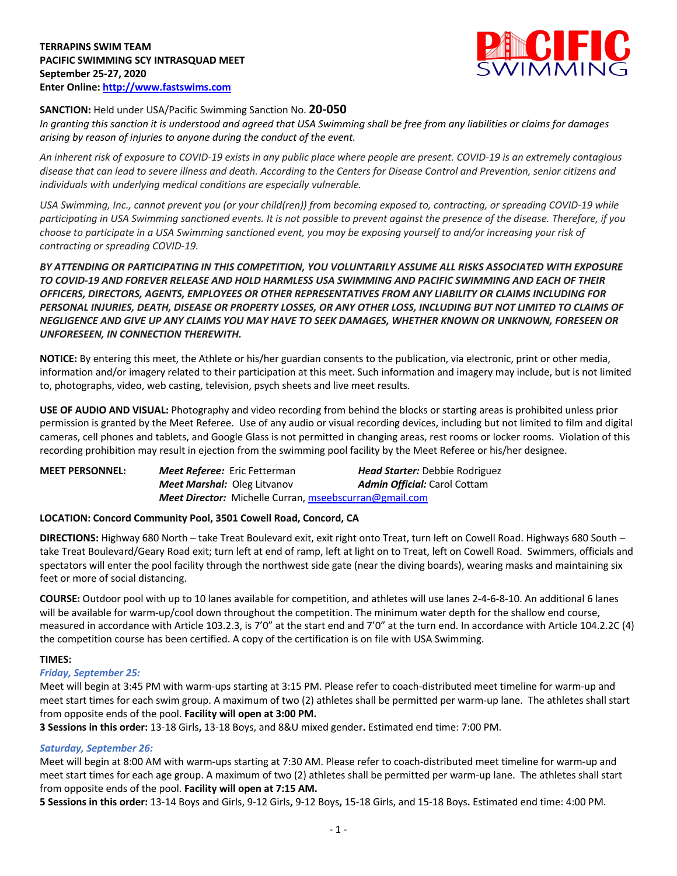

# **SANCTION:** Held under USA/Pacific Swimming Sanction No. **20-050**

*In granting this sanction it is understood and agreed that USA Swimming shall be free from any liabilities or claims for damages arising by reason of injuries to anyone during the conduct of the event.* 

*An inherent risk of exposure to COVID-19 exists in any public place where people are present. COVID-19 is an extremely contagious disease that can lead to severe illness and death. According to the Centers for Disease Control and Prevention, senior citizens and individuals with underlying medical conditions are especially vulnerable.*

*USA Swimming, Inc., cannot prevent you (or your child(ren)) from becoming exposed to, contracting, or spreading COVID-19 while participating in USA Swimming sanctioned events. It is not possible to prevent against the presence of the disease. Therefore, if you choose to participate in a USA Swimming sanctioned event, you may be exposing yourself to and/or increasing your risk of contracting or spreading COVID-19.*

*BY ATTENDING OR PARTICIPATING IN THIS COMPETITION, YOU VOLUNTARILY ASSUME ALL RISKS ASSOCIATED WITH EXPOSURE TO COVID-19 AND FOREVER RELEASE AND HOLD HARMLESS USA SWIMMING AND PACIFIC SWIMMING AND EACH OF THEIR OFFICERS, DIRECTORS, AGENTS, EMPLOYEES OR OTHER REPRESENTATIVES FROM ANY LIABILITY OR CLAIMS INCLUDING FOR PERSONAL INJURIES, DEATH, DISEASE OR PROPERTY LOSSES, OR ANY OTHER LOSS, INCLUDING BUT NOT LIMITED TO CLAIMS OF NEGLIGENCE AND GIVE UP ANY CLAIMS YOU MAY HAVE TO SEEK DAMAGES, WHETHER KNOWN OR UNKNOWN, FORESEEN OR UNFORESEEN, IN CONNECTION THEREWITH.*

**NOTICE:** By entering this meet, the Athlete or his/her guardian consents to the publication, via electronic, print or other media, information and/or imagery related to their participation at this meet. Such information and imagery may include, but is not limited to, photographs, video, web casting, television, psych sheets and live meet results.

**USE OF AUDIO AND VISUAL:** Photography and video recording from behind the blocks or starting areas is prohibited unless prior permission is granted by the Meet Referee. Use of any audio or visual recording devices, including but not limited to film and digital cameras, cell phones and tablets, and Google Glass is not permitted in changing areas, rest rooms or locker rooms. Violation of this recording prohibition may result in ejection from the swimming pool facility by the Meet Referee or his/her designee.

| <b>MEET PERSONNEL:</b> | Meet Referee: Eric Fetterman       | <b>Head Starter:</b> Debbie Rodriguez                         |
|------------------------|------------------------------------|---------------------------------------------------------------|
|                        | <b>Meet Marshal: Oleg Litvanov</b> | <b>Admin Official:</b> Carol Cottam                           |
|                        |                                    | <b>Meet Director:</b> Michelle Curran, mseebscurran@gmail.com |

### **LOCATION: Concord Community Pool, 3501 Cowell Road, Concord, CA**

**DIRECTIONS:** Highway 680 North – take Treat Boulevard exit, exit right onto Treat, turn left on Cowell Road. Highways 680 South – take Treat Boulevard/Geary Road exit; turn left at end of ramp, left at light on to Treat, left on Cowell Road. Swimmers, officials and spectators will enter the pool facility through the northwest side gate (near the diving boards), wearing masks and maintaining six feet or more of social distancing.

**COURSE:** Outdoor pool with up to 10 lanes available for competition, and athletes will use lanes 2-4-6-8-10. An additional 6 lanes will be available for warm-up/cool down throughout the competition. The minimum water depth for the shallow end course, measured in accordance with Article 103.2.3, is 7'0" at the start end and 7'0" at the turn end. In accordance with Article 104.2.2C (4) the competition course has been certified. A copy of the certification is on file with USA Swimming.

### **TIMES:**

### *Friday, September 25:*

Meet will begin at 3:45 PM with warm-ups starting at 3:15 PM. Please refer to coach-distributed meet timeline for warm-up and meet start times for each swim group. A maximum of two (2) athletes shall be permitted per warm-up lane. The athletes shall start from opposite ends of the pool. **Facility will open at 3:00 PM.**

**3 Sessions in this order:** 13-18 Girls**,** 13-18 Boys, and 8&U mixed gender**.** Estimated end time: 7:00 PM.

### *Saturday, September 26:*

Meet will begin at 8:00 AM with warm-ups starting at 7:30 AM. Please refer to coach-distributed meet timeline for warm-up and meet start times for each age group. A maximum of two (2) athletes shall be permitted per warm-up lane. The athletes shall start from opposite ends of the pool. **Facility will open at 7:15 AM.**

**5 Sessions in this order:** 13-14 Boys and Girls, 9-12 Girls**,** 9-12 Boys**,** 15-18 Girls, and 15-18 Boys**.** Estimated end time: 4:00 PM.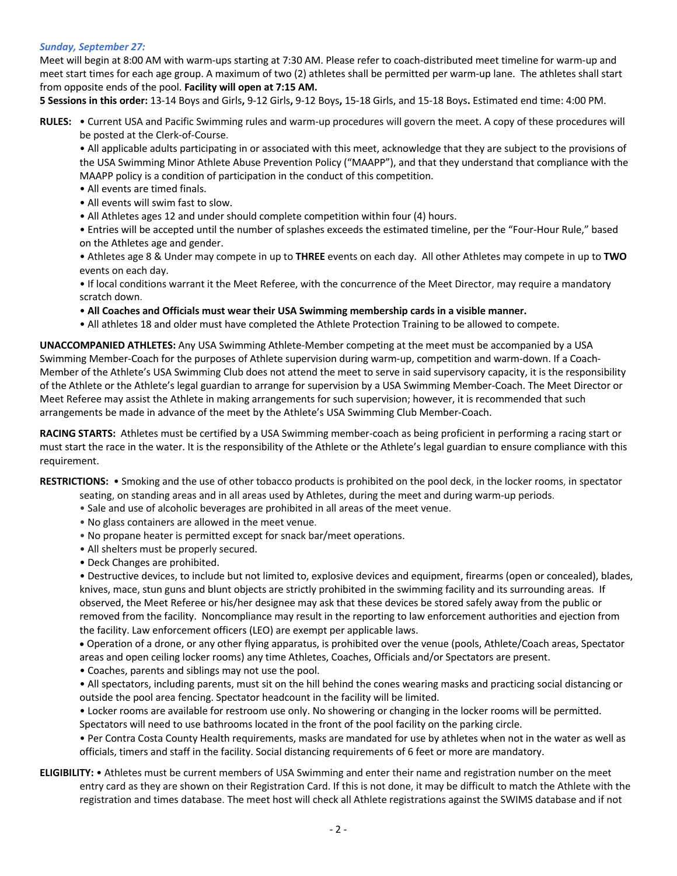#### *Sunday, September 27:*

Meet will begin at 8:00 AM with warm-ups starting at 7:30 AM. Please refer to coach-distributed meet timeline for warm-up and meet start times for each age group. A maximum of two (2) athletes shall be permitted per warm-up lane. The athletes shall start from opposite ends of the pool. **Facility will open at 7:15 AM.** 

**5 Sessions in this order:** 13-14 Boys and Girls**,** 9-12 Girls**,** 9-12 Boys**,** 15-18 Girls, and 15-18 Boys**.** Estimated end time: 4:00 PM.

**RULES:** • Current USA and Pacific Swimming rules and warm-up procedures will govern the meet. A copy of these procedures will be posted at the Clerk-of-Course.

• All applicable adults participating in or associated with this meet, acknowledge that they are subject to the provisions of the USA Swimming Minor Athlete Abuse Prevention Policy ("MAAPP"), and that they understand that compliance with the MAAPP policy is a condition of participation in the conduct of this competition.

- All events are timed finals.
- All events will swim fast to slow.
- All Athletes ages 12 and under should complete competition within four (4) hours.

• Entries will be accepted until the number of splashes exceeds the estimated timeline, per the "Four-Hour Rule," based on the Athletes age and gender.

• Athletes age 8 & Under may compete in up to **THREE** events on each day. All other Athletes may compete in up to **TWO** events on each day.

• If local conditions warrant it the Meet Referee, with the concurrence of the Meet Director, may require a mandatory scratch down.

• **All Coaches and Officials must wear their USA Swimming membership cards in a visible manner.** 

• All athletes 18 and older must have completed the Athlete Protection Training to be allowed to compete.

**UNACCOMPANIED ATHLETES:** Any USA Swimming Athlete-Member competing at the meet must be accompanied by a USA Swimming Member-Coach for the purposes of Athlete supervision during warm-up, competition and warm-down. If a Coach-Member of the Athlete's USA Swimming Club does not attend the meet to serve in said supervisory capacity, it is the responsibility of the Athlete or the Athlete's legal guardian to arrange for supervision by a USA Swimming Member-Coach. The Meet Director or Meet Referee may assist the Athlete in making arrangements for such supervision; however, it is recommended that such arrangements be made in advance of the meet by the Athlete's USA Swimming Club Member-Coach.

**RACING STARTS:** Athletes must be certified by a USA Swimming member-coach as being proficient in performing a racing start or must start the race in the water. It is the responsibility of the Athlete or the Athlete's legal guardian to ensure compliance with this requirement.

**RESTRICTIONS:** • Smoking and the use of other tobacco products is prohibited on the pool deck, in the locker rooms, in spectator

- seating, on standing areas and in all areas used by Athletes, during the meet and during warm-up periods.
- Sale and use of alcoholic beverages are prohibited in all areas of the meet venue.
- No glass containers are allowed in the meet venue.
- No propane heater is permitted except for snack bar/meet operations.
- All shelters must be properly secured.
- Deck Changes are prohibited.

• Destructive devices, to include but not limited to, explosive devices and equipment, firearms (open or concealed), blades, knives, mace, stun guns and blunt objects are strictly prohibited in the swimming facility and its surrounding areas. If observed, the Meet Referee or his/her designee may ask that these devices be stored safely away from the public or removed from the facility. Noncompliance may result in the reporting to law enforcement authorities and ejection from the facility. Law enforcement officers (LEO) are exempt per applicable laws.

• Operation of a drone, or any other flying apparatus, is prohibited over the venue (pools, Athlete/Coach areas, Spectator

areas and open ceiling locker rooms) any time Athletes, Coaches, Officials and/or Spectators are present.

- Coaches, parents and siblings may not use the pool.
- All spectators, including parents, must sit on the hill behind the cones wearing masks and practicing social distancing or outside the pool area fencing. Spectator headcount in the facility will be limited.

• Locker rooms are available for restroom use only. No showering or changing in the locker rooms will be permitted. Spectators will need to use bathrooms located in the front of the pool facility on the parking circle.

• Per Contra Costa County Health requirements, masks are mandated for use by athletes when not in the water as well as officials, timers and staff in the facility. Social distancing requirements of 6 feet or more are mandatory.

# **ELIGIBILITY:** • Athletes must be current members of USA Swimming and enter their name and registration number on the meet entry card as they are shown on their Registration Card. If this is not done, it may be difficult to match the Athlete with the registration and times database. The meet host will check all Athlete registrations against the SWIMS database and if not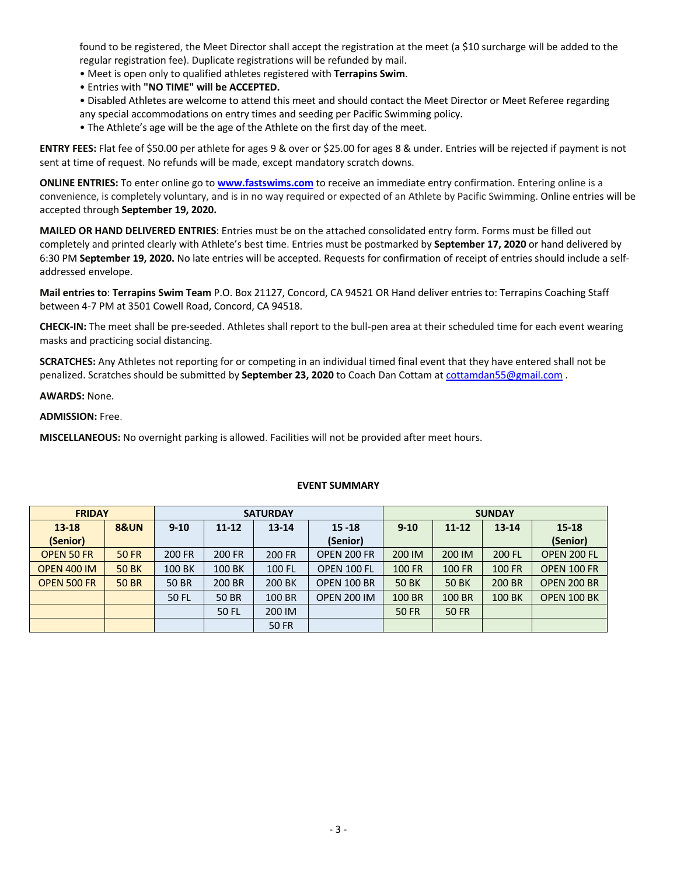found to be registered, the Meet Director shall accept the registration at the meet (a \$10 surcharge will be added to the regular registration fee). Duplicate registrations will be refunded by mail.

- Meet is open only to qualified athletes registered with **Terrapins Swim**.
- Entries with **"NO TIME" will be ACCEPTED.**
- Disabled Athletes are welcome to attend this meet and should contact the Meet Director or Meet Referee regarding any special accommodations on entry times and seeding per Pacific Swimming policy.
- The Athlete's age will be the age of the Athlete on the first day of the meet.

**ENTRY FEES:** Flat fee of \$50.00 per athlete for ages 9 & over or \$25.00 for ages 8 & under. Entries will be rejected if payment is not sent at time of request. No refunds will be made, except mandatory scratch downs.

**ONLINE ENTRIES:** To enter online go to **www.fastswims.com** to receive an immediate entry confirmation. Entering online is a convenience, is completely voluntary, and is in no way required or expected of an Athlete by Pacific Swimming. Online entries will be accepted through **September 19, 2020.**

**MAILED OR HAND DELIVERED ENTRIES**: Entries must be on the attached consolidated entry form. Forms must be filled out completely and printed clearly with Athlete's best time. Entries must be postmarked by **September 17, 2020** or hand delivered by 6:30 PM **September 19, 2020.** No late entries will be accepted. Requests for confirmation of receipt of entries should include a selfaddressed envelope.

**Mail entries to**: **Terrapins Swim Team** P.O. Box 21127, Concord, CA 94521 OR Hand deliver entries to: Terrapins Coaching Staff between 4-7 PM at 3501 Cowell Road, Concord, CA 94518.

**CHECK-IN:** The meet shall be pre-seeded. Athletes shall report to the bull-pen area at their scheduled time for each event wearing masks and practicing social distancing.

**SCRATCHES:** Any Athletes not reporting for or competing in an individual timed final event that they have entered shall not be penalized. Scratches should be submitted by **September 23, 2020** to Coach Dan Cottam at cottamdan55@gmail.com .

**AWARDS:** None.

**ADMISSION:** Free.

**MISCELLANEOUS:** No overnight parking is allowed. Facilities will not be provided after meet hours.

| <b>FRIDAY</b>      |                 |              |           | <b>SATURDAY</b> |                    | <b>SUNDAY</b> |                        |               |                    |  |
|--------------------|-----------------|--------------|-----------|-----------------|--------------------|---------------|------------------------|---------------|--------------------|--|
| $13 - 18$          | <b>8&amp;UN</b> | $9 - 10$     | $11 - 12$ | $13 - 14$       | $15 - 18$          | $9 - 10$      | $11 - 12$<br>$13 - 14$ |               | $15 - 18$          |  |
| (Senior)           |                 |              |           |                 | (Senior)           |               |                        |               | (Senior)           |  |
| <b>OPEN 50 FR</b>  | <b>50 FR</b>    | 200 FR       | 200 FR    | 200 FR          | <b>OPEN 200 FR</b> | 200 IM        | 200 IM                 | 200 FL        | OPEN 200 FL        |  |
| <b>OPEN 400 IM</b> | <b>50 BK</b>    | 100 BK       | 100 BK    | 100 FL          | OPEN 100 FL        | <b>100 FR</b> | <b>100 FR</b>          | <b>100 FR</b> | <b>OPEN 100 FR</b> |  |
| OPEN 500 FR        | <b>50 BR</b>    | <b>50 BR</b> | 200 BR    | 200 BK          | <b>OPEN 100 BR</b> | <b>50 BK</b>  | <b>50 BK</b>           | 200 BR        | <b>OPEN 200 BR</b> |  |
|                    |                 | 50 FL        | 50 BR     | 100 BR          | <b>OPEN 200 IM</b> | 100 BR        | 100 BR                 | 100 BK        | <b>OPEN 100 BK</b> |  |
|                    |                 |              | 50 FL     | 200 IM          |                    | <b>50 FR</b>  | <b>50 FR</b>           |               |                    |  |
|                    |                 |              |           | <b>50 FR</b>    |                    |               |                        |               |                    |  |

### **EVENT SUMMARY**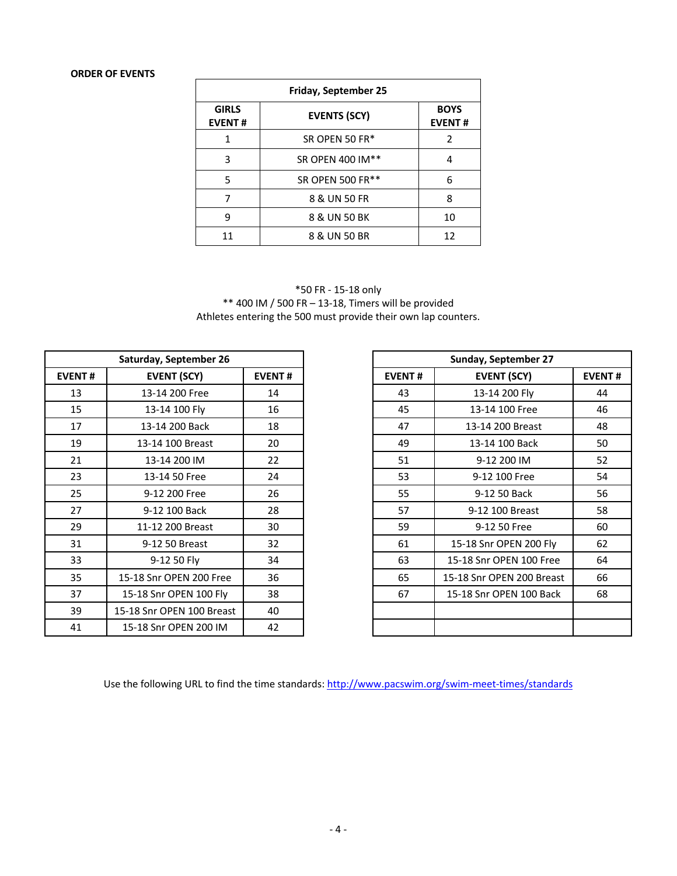# **ORDER OF EVENTS**

| Friday, September 25          |                     |                              |  |  |  |  |  |  |
|-------------------------------|---------------------|------------------------------|--|--|--|--|--|--|
| <b>GIRLS</b><br><b>EVENT#</b> | <b>EVENTS (SCY)</b> | <b>BOYS</b><br><b>EVENT#</b> |  |  |  |  |  |  |
| 1                             | SR OPEN 50 FR*      | 2                            |  |  |  |  |  |  |
| 3                             | SR OPEN 400 IM**    | 4                            |  |  |  |  |  |  |
| 5                             | SR OPEN 500 FR**    | 6                            |  |  |  |  |  |  |
| 7                             | 8 & UN 50 FR        | 8                            |  |  |  |  |  |  |
| q                             | 8 & UN 50 BK        | 10                           |  |  |  |  |  |  |
| 11                            | 8 & UN 50 BR        | 12                           |  |  |  |  |  |  |

\*50 FR - 15-18 only \*\* 400 IM / 500 FR – 13-18, Timers will be provided Athletes entering the 500 must provide their own lap counters.

| Saturday, September 26 |                           |               |  |
|------------------------|---------------------------|---------------|--|
| <b>EVENT#</b>          | <b>EVENT (SCY)</b>        | <b>EVENT#</b> |  |
| 13                     | 13-14 200 Free            | 14            |  |
| 15                     | 13-14 100 Fly             | 16            |  |
| 17                     | 13-14 200 Back            | 18            |  |
| 19                     | 13-14 100 Breast          | 20            |  |
| 21                     | 13-14 200 IM              | 22            |  |
| 23                     | 13-14 50 Free             | 24            |  |
| 25                     | 9-12 200 Free             | 26            |  |
| 27                     | 9-12 100 Back             | 28            |  |
| 29                     | 11-12 200 Breast          | 30            |  |
| 31                     | 9-12 50 Breast            | 32            |  |
| 33                     | 9-12 50 Fly               | 34            |  |
| 35                     | 15-18 Snr OPEN 200 Free   | 36            |  |
| 37                     | 15-18 Snr OPEN 100 Fly    | 38            |  |
| 39                     | 15-18 Snr OPEN 100 Breast | 40            |  |
| 41                     | 15-18 Snr OPEN 200 IM     | 42            |  |

|               | Saturday, September 26    |               |  | Sunday, September 27                |                           |               |  |  |
|---------------|---------------------------|---------------|--|-------------------------------------|---------------------------|---------------|--|--|
| <b>EVENT#</b> | <b>EVENT (SCY)</b>        | <b>EVENT#</b> |  | <b>EVENT#</b><br><b>EVENT (SCY)</b> |                           | <b>EVENT#</b> |  |  |
| 13            | 13-14 200 Free            | 14            |  | 43                                  | 13-14 200 Fly             | 44            |  |  |
| 15            | 13-14 100 Fly             | 16            |  | 45                                  | 13-14 100 Free            | 46            |  |  |
| 17            | 13-14 200 Back            | 18            |  | 47                                  | 13-14 200 Breast          | 48            |  |  |
| 19            | 13-14 100 Breast          | 20            |  | 49                                  | 13-14 100 Back            | 50            |  |  |
| 21            | 13-14 200 IM              | 22            |  | 51                                  | 9-12 200 IM               | 52            |  |  |
| 23            | 13-14 50 Free             | 24            |  | 53                                  | 9-12 100 Free             | 54            |  |  |
| 25            | 9-12 200 Free             | 26            |  | 55                                  | 9-12 50 Back              | 56            |  |  |
| 27            | 9-12 100 Back             | 28            |  | 57                                  | 9-12 100 Breast           | 58            |  |  |
| 29            | 11-12 200 Breast          | 30            |  | 59                                  | 9-12 50 Free              | 60            |  |  |
| 31            | 9-12 50 Breast            | 32            |  | 61                                  | 15-18 Snr OPEN 200 Fly    | 62            |  |  |
| 33            | 9-12 50 Fly               | 34            |  | 63                                  | 15-18 Snr OPEN 100 Free   | 64            |  |  |
| 35            | 15-18 Snr OPEN 200 Free   | 36            |  | 65                                  | 15-18 Snr OPEN 200 Breast | 66            |  |  |
| 37            | 15-18 Snr OPEN 100 Fly    | 38            |  | 67                                  | 15-18 Snr OPEN 100 Back   | 68            |  |  |
| 39            | 15-18 Snr OPEN 100 Breast | 40            |  |                                     |                           |               |  |  |
| 41            | 15-18 Snr OPEN 200 IM     | 42            |  |                                     |                           |               |  |  |

Use the following URL to find the time standards: http://www.pacswim.org/swim-meet-times/standards